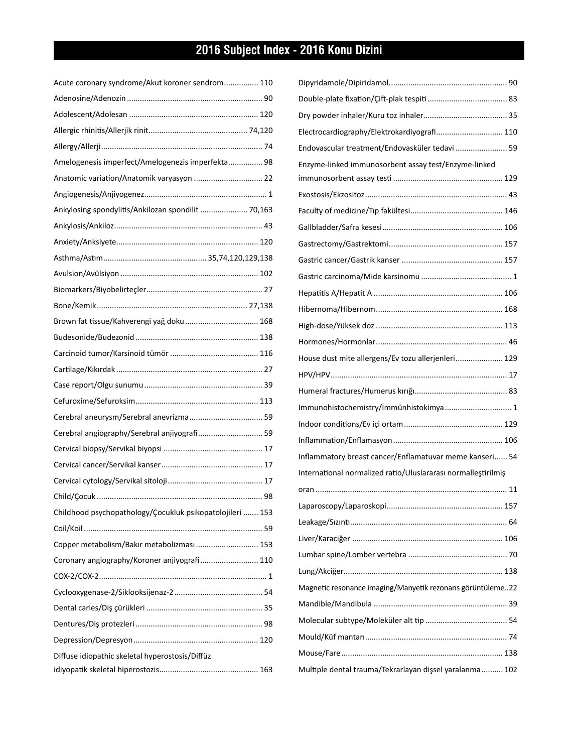## **2016 Subject Index - 2016 Konu Dizini**

| Acute coronary syndrome/Akut koroner sendrom 110          |  |
|-----------------------------------------------------------|--|
|                                                           |  |
|                                                           |  |
|                                                           |  |
|                                                           |  |
| Amelogenesis imperfect/Amelogenezis imperfekta 98         |  |
| Anatomic variation/Anatomik varyasyon  22                 |  |
|                                                           |  |
| Ankylosing spondylitis/Ankilozan spondilit  70,163        |  |
|                                                           |  |
|                                                           |  |
|                                                           |  |
|                                                           |  |
|                                                           |  |
|                                                           |  |
| Brown fat tissue/Kahverengi yağ doku  168                 |  |
|                                                           |  |
|                                                           |  |
|                                                           |  |
|                                                           |  |
|                                                           |  |
| Cerebral aneurysm/Serebral anevrizma 59                   |  |
| Cerebral angiography/Serebral anjiyografi 59              |  |
|                                                           |  |
|                                                           |  |
|                                                           |  |
|                                                           |  |
| Childhood psychopathology/Çocukluk psikopatolojileri  153 |  |
|                                                           |  |
| Copper metabolism/Bakır metabolizması 153                 |  |
| Coronary angiography/Koroner anjiyografi 110              |  |
|                                                           |  |
|                                                           |  |
|                                                           |  |
|                                                           |  |
|                                                           |  |
| Diffuse idiopathic skeletal hyperostosis/Diffüz           |  |
|                                                           |  |

| Electrocardiography/Elektrokardiyografi 110                   |  |
|---------------------------------------------------------------|--|
| Endovascular treatment/Endovasküler tedavi  59                |  |
| Enzyme-linked immunosorbent assay test/Enzyme-linked          |  |
|                                                               |  |
|                                                               |  |
|                                                               |  |
|                                                               |  |
|                                                               |  |
|                                                               |  |
|                                                               |  |
|                                                               |  |
|                                                               |  |
|                                                               |  |
|                                                               |  |
| House dust mite allergens/Ev tozu allerjenleri 129            |  |
|                                                               |  |
|                                                               |  |
| Immunohistochemistry/immünhistokimya 1                        |  |
|                                                               |  |
|                                                               |  |
| Inflammatory breast cancer/Enflamatuvar meme kanseri 54       |  |
| International normalized ratio/Uluslararası normalleştirilmiş |  |
|                                                               |  |
|                                                               |  |
|                                                               |  |
|                                                               |  |
|                                                               |  |
|                                                               |  |
| Magnetic resonance imaging/Manyetik rezonans görüntüleme22    |  |
|                                                               |  |
|                                                               |  |
|                                                               |  |
|                                                               |  |
| Multiple dental trauma/Tekrarlayan dişsel yaralanma 102       |  |
|                                                               |  |